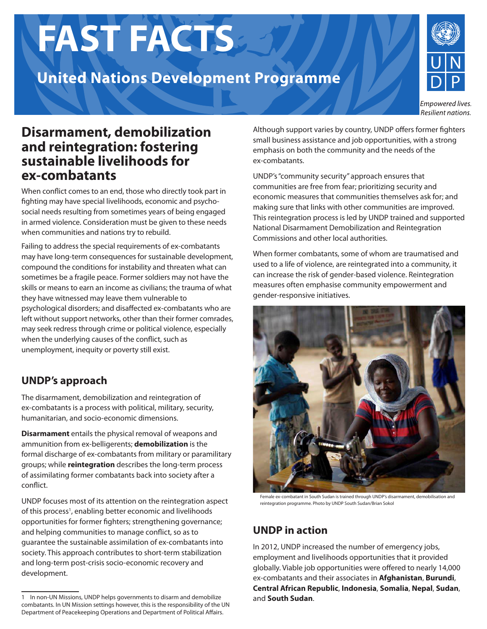# **FAST FACTS**

## **United Nations Development Programme**



Empowered lives. Resilient nations.

### **Disarmament, demobilization and reintegration: fostering sustainable livelihoods for ex-combatants**

When conflict comes to an end, those who directly took part in fighting may have special livelihoods, economic and psychosocial needs resulting from sometimes years of being engaged in armed violence. Consideration must be given to these needs when communities and nations try to rebuild.

Failing to address the special requirements of ex-combatants may have long-term consequences for sustainable development, compound the conditions for instability and threaten what can sometimes be a fragile peace. Former soldiers may not have the skills or means to earn an income as civilians; the trauma of what they have witnessed may leave them vulnerable to psychological disorders; and disaffected ex-combatants who are left without support networks, other than their former comrades, may seek redress through crime or political violence, especially when the underlying causes of the conflict, such as unemployment, inequity or poverty still exist.

#### **UNDP's approach**

The disarmament, demobilization and reintegration of ex-combatants is a process with political, military, security, humanitarian, and socio-economic dimensions.

**Disarmament** entails the physical removal of weapons and ammunition from ex-belligerents; **demobilization** is the formal discharge of ex-combatants from military or paramilitary groups; while **reintegration** describes the long-term process of assimilating former combatants back into society after a conflict.

UNDP focuses most of its attention on the reintegration aspect of this process<sup>1</sup>, enabling better economic and livelihoods opportunities for former fighters; strengthening governance; and helping communities to manage conflict, so as to guarantee the sustainable assimilation of ex-combatants into society. This approach contributes to short-term stabilization and long-term post-crisis socio-economic recovery and development.

Although support varies by country, UNDP offers former fighters small business assistance and job opportunities, with a strong emphasis on both the community and the needs of the ex-combatants.

UNDP's "community security" approach ensures that communities are free from fear; prioritizing security and economic measures that communities themselves ask for; and making sure that links with other communities are improved. This reintegration process is led by UNDP trained and supported National Disarmament Demobilization and Reintegration Commissions and other local authorities.

When former combatants, some of whom are traumatised and used to a life of violence, are reintegrated into a community, it can increase the risk of gender-based violence. Reintegration measures often emphasise community empowerment and gender-responsive initiatives.



Female ex-combatant in South Sudan is trained through UNDP's disarmament, demobilisation and reintegration programme. Photo by UNDP South Sudan/Brian Sokol

#### **UNDP in action**

In 2012, UNDP increased the number of emergency jobs, employment and livelihoods opportunities that it provided globally. Viable job opportunities were offered to nearly 14,000 ex-combatants and their associates in **Afghanistan**, **Burundi**, **Central African Republic**, **Indonesia**, **Somalia**, **Nepal**, **Sudan**, and **South Sudan**.

<sup>1</sup> In non-UN Missions, UNDP helps governments to disarm and demobilize combatants. In UN Mission settings however, this is the responsibility of the UN Department of Peacekeeping Operations and Department of Political Affairs.